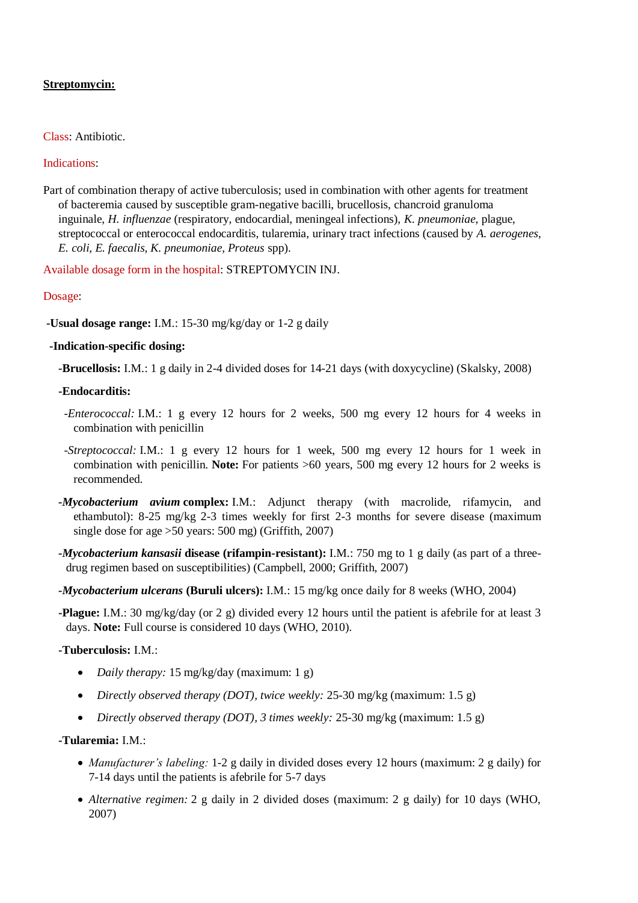# **Streptomycin:**

### Class: Antibiotic.

#### Indications:

Part of combination therapy of active tuberculosis; used in combination with other agents for treatment of bacteremia caused by susceptible gram-negative bacilli, brucellosis, chancroid granuloma inguinale, *H. influenzae* (respiratory, endocardial, meningeal infections), *K. pneumoniae*, plague, streptococcal or enterococcal endocarditis, tularemia, urinary tract infections (caused by *A. aerogenes, E. coli, E. faecalis, K. pneumoniae, Proteus* spp).

Available dosage form in the hospital: STREPTOMYCIN INJ.

#### Dosage:

**-Usual dosage range:** I.M.: 15-30 mg/kg/day or 1-2 g daily

#### **-Indication-specific dosing:**

**-Brucellosis:** I.M.: 1 g daily in 2-4 divided doses for 14-21 days (with doxycycline) (Skalsky, 2008)

#### **-Endocarditis:**

- *-Enterococcal:* I.M.: 1 g every 12 hours for 2 weeks, 500 mg every 12 hours for 4 weeks in combination with penicillin
- *-Streptococcal:* I.M.: 1 g every 12 hours for 1 week, 500 mg every 12 hours for 1 week in combination with penicillin. **Note:** For patients >60 years, 500 mg every 12 hours for 2 weeks is recommended.
- *-Mycobacterium avium* **complex:** I.M.: Adjunct therapy (with macrolide, rifamycin, and ethambutol): 8-25 mg/kg 2-3 times weekly for first 2-3 months for severe disease (maximum single dose for age >50 years: 500 mg) (Griffith, 2007)
- *-Mycobacterium kansasii* **disease (rifampin-resistant):** I.M.: 750 mg to 1 g daily (as part of a threedrug regimen based on susceptibilities) (Campbell, 2000; Griffith, 2007)
- *-Mycobacterium ulcerans* **(Buruli ulcers):** I.M.: 15 mg/kg once daily for 8 weeks (WHO, 2004)
- **-Plague:** I.M.: 30 mg/kg/day (or 2 g) divided every 12 hours until the patient is afebrile for at least 3 days. **Note:** Full course is considered 10 days (WHO, 2010).

## **-Tuberculosis:** I.M.:

- *Daily therapy:* 15 mg/kg/day (maximum: 1 g)
- *Directly observed therapy (DOT), twice weekly:* 25-30 mg/kg (maximum: 1.5 g)
- *Directly observed therapy (DOT), 3 times weekly:* 25-30 mg/kg (maximum: 1.5 g)

## **-Tularemia:** I.M.:

- *Manufacturer's labeling:* 1-2 g daily in divided doses every 12 hours (maximum: 2 g daily) for 7-14 days until the patients is afebrile for 5-7 days
- *Alternative regimen:* 2 g daily in 2 divided doses (maximum: 2 g daily) for 10 days (WHO, 2007)